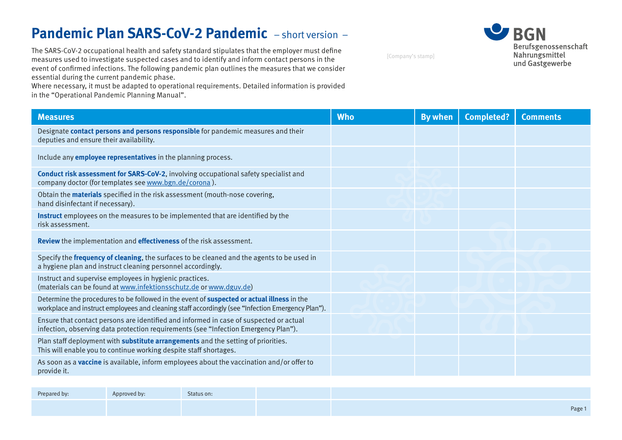# **Pandemic Plan SARS-CoV-2 Pandemic** – short version –

The SARS-CoV-2 occupational health and safety standard stipulates that the employer must define measures used to investigate suspected cases and to identify and inform contact persons in the event of confirmed infections. The following pandemic plan outlines the measures that we consider essential during the current pandemic phase.

Where necessary, it must be adapted to operational requirements. Detailed information is provided in the "Operational Pandemic Planning Manual".

**U** BGN Berufsgenossenschaft Nahrungsmittel und Gastgewerbe

[Company's stamp]

| <b>Measures</b>                                                                                                                                                                                        | <b>Who</b> | <b>By when</b> | <b>Completed?</b> | <b>Comments</b> |
|--------------------------------------------------------------------------------------------------------------------------------------------------------------------------------------------------------|------------|----------------|-------------------|-----------------|
| Designate contact persons and persons responsible for pandemic measures and their<br>deputies and ensure their availability.                                                                           |            |                |                   |                 |
| Include any <b>employee representatives</b> in the planning process.                                                                                                                                   |            |                |                   |                 |
| Conduct risk assessment for SARS-CoV-2, involving occupational safety specialist and<br>company doctor (for templates see www.bgn.de/corona).                                                          |            |                |                   |                 |
| Obtain the <b>materials</b> specified in the risk assessment (mouth-nose covering,<br>hand disinfectant if necessary).                                                                                 |            |                |                   |                 |
| Instruct employees on the measures to be implemented that are identified by the<br>risk assessment.                                                                                                    |            |                |                   |                 |
| Review the implementation and effectiveness of the risk assessment.                                                                                                                                    |            |                |                   |                 |
| Specify the frequency of cleaning, the surfaces to be cleaned and the agents to be used in<br>a hygiene plan and instruct cleaning personnel accordingly.                                              |            |                |                   |                 |
| Instruct and supervise employees in hygienic practices.<br>(materials can be found at www.infektionsschutz.de or www.dguv.de)                                                                          |            |                |                   |                 |
| Determine the procedures to be followed in the event of <b>suspected or actual illness</b> in the<br>workplace and instruct employees and cleaning staff accordingly (see "Infection Emergency Plan"). |            |                |                   |                 |
| Ensure that contact persons are identified and informed in case of suspected or actual<br>infection, observing data protection requirements (see "Infection Emergency Plan").                          |            |                |                   |                 |
| Plan staff deployment with substitute arrangements and the setting of priorities.<br>This will enable you to continue working despite staff shortages.                                                 |            |                |                   |                 |
| As soon as a <b>vaccine</b> is available, inform employees about the vaccination and/or offer to<br>provide it.                                                                                        |            |                |                   |                 |